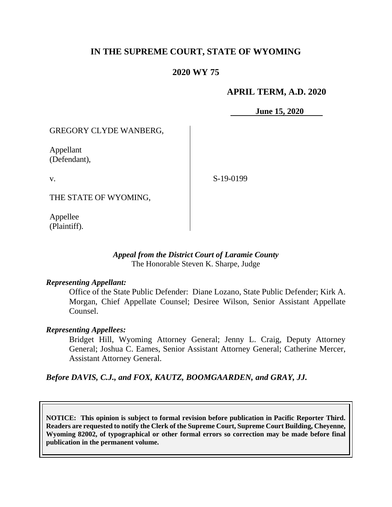# **IN THE SUPREME COURT, STATE OF WYOMING**

## **2020 WY 75**

### **APRIL TERM, A.D. 2020**

**June 15, 2020**

GREGORY CLYDE WANBERG,

Appellant (Defendant),

v.

S-19-0199

THE STATE OF WYOMING,

Appellee (Plaintiff).

### *Appeal from the District Court of Laramie County* The Honorable Steven K. Sharpe, Judge

#### *Representing Appellant:*

Office of the State Public Defender: Diane Lozano, State Public Defender; Kirk A. Morgan, Chief Appellate Counsel; Desiree Wilson, Senior Assistant Appellate Counsel.

#### *Representing Appellees:*

Bridget Hill, Wyoming Attorney General; Jenny L. Craig, Deputy Attorney General; Joshua C. Eames, Senior Assistant Attorney General; Catherine Mercer, Assistant Attorney General.

*Before DAVIS, C.J., and FOX, KAUTZ, BOOMGAARDEN, and GRAY, JJ.*

**NOTICE: This opinion is subject to formal revision before publication in Pacific Reporter Third. Readers are requested to notify the Clerk of the Supreme Court, Supreme Court Building, Cheyenne, Wyoming 82002, of typographical or other formal errors so correction may be made before final publication in the permanent volume.**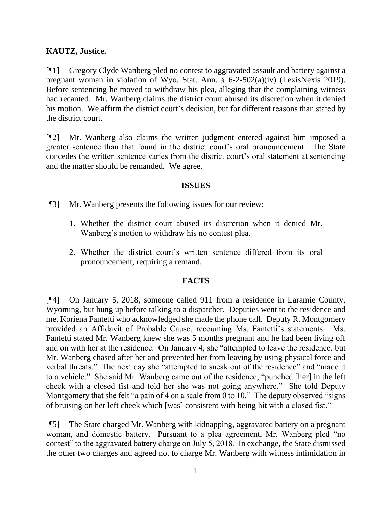## **KAUTZ, Justice.**

[¶1] Gregory Clyde Wanberg pled no contest to aggravated assault and battery against a pregnant woman in violation of Wyo. Stat. Ann. § 6-2-502(a)(iv) (LexisNexis 2019). Before sentencing he moved to withdraw his plea, alleging that the complaining witness had recanted. Mr. Wanberg claims the district court abused its discretion when it denied his motion. We affirm the district court's decision, but for different reasons than stated by the district court.

[¶2] Mr. Wanberg also claims the written judgment entered against him imposed a greater sentence than that found in the district court's oral pronouncement. The State concedes the written sentence varies from the district court's oral statement at sentencing and the matter should be remanded. We agree.

### **ISSUES**

[¶3] Mr. Wanberg presents the following issues for our review:

- 1. Whether the district court abused its discretion when it denied Mr. Wanberg's motion to withdraw his no contest plea.
- 2. Whether the district court's written sentence differed from its oral pronouncement, requiring a remand.

## **FACTS**

[¶4] On January 5, 2018, someone called 911 from a residence in Laramie County, Wyoming, but hung up before talking to a dispatcher. Deputies went to the residence and met Koriena Fantetti who acknowledged she made the phone call. Deputy R. Montgomery provided an Affidavit of Probable Cause, recounting Ms. Fantetti's statements. Ms. Fantetti stated Mr. Wanberg knew she was 5 months pregnant and he had been living off and on with her at the residence. On January 4, she "attempted to leave the residence, but Mr. Wanberg chased after her and prevented her from leaving by using physical force and verbal threats." The next day she "attempted to sneak out of the residence" and "made it to a vehicle." She said Mr. Wanberg came out of the residence, "punched [her] in the left cheek with a closed fist and told her she was not going anywhere." She told Deputy Montgomery that she felt "a pain of 4 on a scale from 0 to 10." The deputy observed "signs" of bruising on her left cheek which [was] consistent with being hit with a closed fist."

[¶5] The State charged Mr. Wanberg with kidnapping, aggravated battery on a pregnant woman, and domestic battery. Pursuant to a plea agreement, Mr. Wanberg pled "no contest" to the aggravated battery charge on July 5, 2018. In exchange, the State dismissed the other two charges and agreed not to charge Mr. Wanberg with witness intimidation in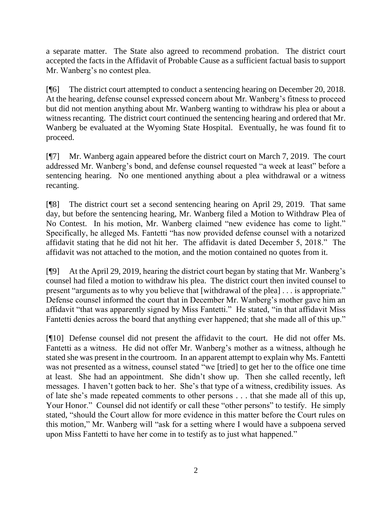a separate matter. The State also agreed to recommend probation. The district court accepted the facts in the Affidavit of Probable Cause as a sufficient factual basis to support Mr. Wanberg's no contest plea.

[¶6] The district court attempted to conduct a sentencing hearing on December 20, 2018. At the hearing, defense counsel expressed concern about Mr. Wanberg's fitness to proceed but did not mention anything about Mr. Wanberg wanting to withdraw his plea or about a witness recanting. The district court continued the sentencing hearing and ordered that Mr. Wanberg be evaluated at the Wyoming State Hospital. Eventually, he was found fit to proceed.

[¶7] Mr. Wanberg again appeared before the district court on March 7, 2019. The court addressed Mr. Wanberg's bond, and defense counsel requested "a week at least" before a sentencing hearing. No one mentioned anything about a plea withdrawal or a witness recanting.

[¶8] The district court set a second sentencing hearing on April 29, 2019. That same day, but before the sentencing hearing, Mr. Wanberg filed a Motion to Withdraw Plea of No Contest. In his motion, Mr. Wanberg claimed "new evidence has come to light." Specifically, he alleged Ms. Fantetti "has now provided defense counsel with a notarized affidavit stating that he did not hit her. The affidavit is dated December 5, 2018." The affidavit was not attached to the motion, and the motion contained no quotes from it.

[¶9] At the April 29, 2019, hearing the district court began by stating that Mr. Wanberg's counsel had filed a motion to withdraw his plea. The district court then invited counsel to present "arguments as to why you believe that [withdrawal of the plea] . . . is appropriate." Defense counsel informed the court that in December Mr. Wanberg's mother gave him an affidavit "that was apparently signed by Miss Fantetti." He stated, "in that affidavit Miss Fantetti denies across the board that anything ever happened; that she made all of this up."

[¶10] Defense counsel did not present the affidavit to the court. He did not offer Ms. Fantetti as a witness. He did not offer Mr. Wanberg's mother as a witness, although he stated she was present in the courtroom. In an apparent attempt to explain why Ms. Fantetti was not presented as a witness, counsel stated "we [tried] to get her to the office one time at least. She had an appointment. She didn't show up. Then she called recently, left messages. I haven't gotten back to her. She's that type of a witness, credibility issues. As of late she's made repeated comments to other persons . . . that she made all of this up, Your Honor." Counsel did not identify or call these "other persons" to testify. He simply stated, "should the Court allow for more evidence in this matter before the Court rules on this motion," Mr. Wanberg will "ask for a setting where I would have a subpoena served upon Miss Fantetti to have her come in to testify as to just what happened."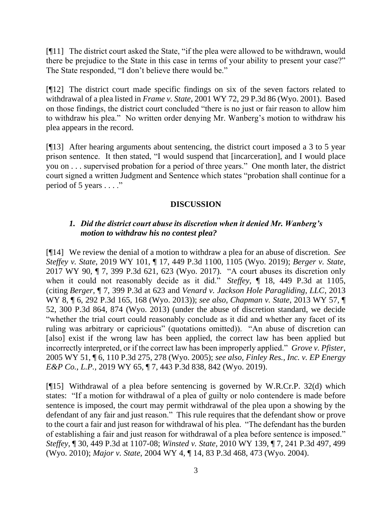[¶11] The district court asked the State, "if the plea were allowed to be withdrawn, would there be prejudice to the State in this case in terms of your ability to present your case?" The State responded, "I don't believe there would be."

[¶12] The district court made specific findings on six of the seven factors related to withdrawal of a plea listed in *Frame v. State,* 2001 WY 72, 29 P.3d 86 (Wyo. 2001). Based on those findings, the district court concluded "there is no just or fair reason to allow him to withdraw his plea." No written order denying Mr. Wanberg's motion to withdraw his plea appears in the record.

[¶13] After hearing arguments about sentencing, the district court imposed a 3 to 5 year prison sentence. It then stated, "I would suspend that [incarceration], and I would place you on . . . supervised probation for a period of three years." One month later, the district court signed a written Judgment and Sentence which states "probation shall continue for a period of 5 years . . . ."

## **DISCUSSION**

### *1. Did the district court abuse its discretion when it denied Mr. Wanberg's motion to withdraw his no contest plea?*

[¶14] We review the denial of a motion to withdraw a plea for an abuse of discretion. *See Steffey v. State*, 2019 WY 101, ¶ 17, 449 P.3d 1100, 1105 (Wyo. 2019); *Berger v. State*, 2017 WY 90, ¶ 7, 399 P.3d 621, 623 (Wyo. 2017). "A court abuses its discretion only when it could not reasonably decide as it did." *Steffey,* ¶ 18, 449 P.3d at 1105, (citing *Berger,* ¶ 7, 399 P.3d at 623 and *Venard v. Jackson Hole Paragliding, LLC*, 2013 WY 8, ¶ 6, 292 P.3d 165, 168 (Wyo. 2013)); *see also, Chapman v. State*, 2013 WY 57, ¶ 52, 300 P.3d 864, 874 (Wyo. 2013) (under the abuse of discretion standard, we decide "whether the trial court could reasonably conclude as it did and whether any facet of its ruling was arbitrary or capricious" (quotations omitted)). "An abuse of discretion can [also] exist if the wrong law has been applied, the correct law has been applied but incorrectly interpreted, or if the correct law has been improperly applied." *Grove v. Pfister*, 2005 WY 51, ¶ 6, 110 P.3d 275, 278 (Wyo. 2005); *see also, Finley Res., Inc. v. EP Energy E&P Co.*, *L.P.,* 2019 WY 65, ¶ 7, 443 P.3d 838, 842 (Wyo. 2019).

[¶15] Withdrawal of a plea before sentencing is governed by W.R.Cr.P. 32(d) which states: "If a motion for withdrawal of a plea of guilty or nolo contendere is made before sentence is imposed, the court may permit withdrawal of the plea upon a showing by the defendant of any fair and just reason."This rule requires that the defendant show or prove to the court a fair and just reason for withdrawal of his plea. "The defendant has the burden of establishing a fair and just reason for withdrawal of a plea before sentence is imposed." *Steffey*, ¶ 30, 449 P.3d at 1107-08; *Winsted v. State,* 2010 WY 139, ¶ 7, 241 P.3d 497, 499 (Wyo. 2010); *Major v. State,* 2004 WY 4, ¶ 14, 83 P.3d 468, 473 (Wyo. 2004).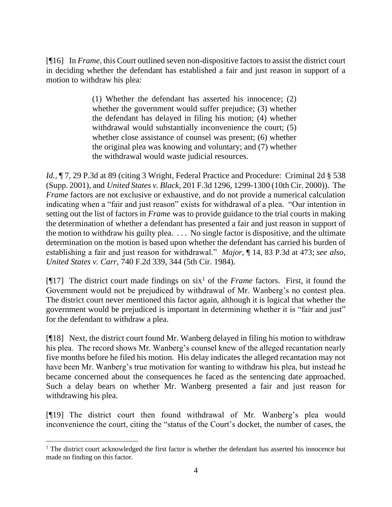[¶16] In *Frame*, this Court outlined seven non-dispositive factors to assist the district court in deciding whether the defendant has established a fair and just reason in support of a motion to withdraw his plea:

> (1) Whether the defendant has asserted his innocence; (2) whether the government would suffer prejudice; (3) whether the defendant has delayed in filing his motion; (4) whether withdrawal would substantially inconvenience the court; (5) whether close assistance of counsel was present; (6) whether the original plea was knowing and voluntary; and (7) whether the withdrawal would waste judicial resources.

*Id.*,  $\P$  7, 29 P.3d at 89 (citing 3 Wright, Federal Practice and Procedure: Criminal 2d § 538 (Supp. 2001), and *United States v. Black*, 201 F.3d 1296, 1299-1300 (10th Cir. 2000)). The *Frame* factors are not exclusive or exhaustive, and do not provide a numerical calculation indicating when a "fair and just reason" exists for withdrawal of a plea. "Our intention in setting out the list of factors in *Frame* was to provide guidance to the trial courts in making the determination of whether a defendant has presented a fair and just reason in support of the motion to withdraw his guilty plea. . . . No single factor is dispositive, and the ultimate determination on the motion is based upon whether the defendant has carried his burden of establishing a fair and just reason for withdrawal." *Major*, ¶ 14, 83 P.3d at 473; *see also, United States v. Carr,* 740 F.2d 339, 344 (5th Cir. 1984).

[ $[17]$ ] The district court made findings on six<sup>1</sup> of the *Frame* factors. First, it found the Government would not be prejudiced by withdrawal of Mr. Wanberg's no contest plea. The district court never mentioned this factor again, although it is logical that whether the government would be prejudiced is important in determining whether it is "fair and just" for the defendant to withdraw a plea.

[¶18] Next, the district court found Mr. Wanberg delayed in filing his motion to withdraw his plea. The record shows Mr. Wanberg's counsel knew of the alleged recantation nearly five months before he filed his motion. His delay indicates the alleged recantation may not have been Mr. Wanberg's true motivation for wanting to withdraw his plea, but instead he became concerned about the consequences he faced as the sentencing date approached. Such a delay bears on whether Mr. Wanberg presented a fair and just reason for withdrawing his plea.

[¶19] The district court then found withdrawal of Mr. Wanberg's plea would inconvenience the court, citing the "status of the Court's docket, the number of cases, the

 $<sup>1</sup>$  The district court acknowledged the first factor is whether the defendant has asserted his innocence but</sup> made no finding on this factor.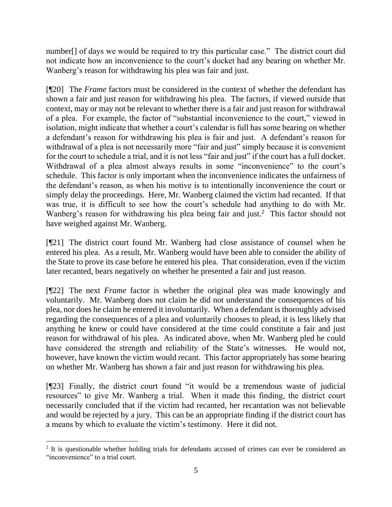number<sup>[]</sup> of days we would be required to try this particular case." The district court did not indicate how an inconvenience to the court's docket had any bearing on whether Mr. Wanberg's reason for withdrawing his plea was fair and just.

[¶20] The *Frame* factors must be considered in the context of whether the defendant has shown a fair and just reason for withdrawing his plea. The factors, if viewed outside that context, may or may not be relevant to whether there is a fair and just reason for withdrawal of a plea. For example, the factor of "substantial inconvenience to the court," viewed in isolation, might indicate that whether a court's calendar is full has some bearing on whether a defendant's reason for withdrawing his plea is fair and just. A defendant's reason for withdrawal of a plea is not necessarily more "fair and just" simply because it is convenient for the court to schedule a trial, and it is not less "fair and just" if the court has a full docket. Withdrawal of a plea almost always results in some "inconvenience" to the court's schedule. This factor is only important when the inconvenience indicates the unfairness of the defendant's reason, as when his motive is to intentionally inconvenience the court or simply delay the proceedings. Here, Mr. Wanberg claimed the victim had recanted. If that was true, it is difficult to see how the court's schedule had anything to do with Mr. Wanberg's reason for withdrawing his plea being fair and just.<sup>2</sup> This factor should not have weighed against Mr. Wanberg.

[¶21] The district court found Mr. Wanberg had close assistance of counsel when he entered his plea. As a result, Mr. Wanberg would have been able to consider the ability of the State to prove its case before he entered his plea. That consideration, even if the victim later recanted, bears negatively on whether he presented a fair and just reason.

[¶22] The next *Frame* factor is whether the original plea was made knowingly and voluntarily. Mr. Wanberg does not claim he did not understand the consequences of his plea, nor does he claim he entered it involuntarily. When a defendant is thoroughly advised regarding the consequences of a plea and voluntarily chooses to plead, it is less likely that anything he knew or could have considered at the time could constitute a fair and just reason for withdrawal of his plea. As indicated above, when Mr. Wanberg pled he could have considered the strength and reliability of the State's witnesses. He would not, however, have known the victim would recant. This factor appropriately has some bearing on whether Mr. Wanberg has shown a fair and just reason for withdrawing his plea.

[¶23] Finally, the district court found "it would be a tremendous waste of judicial resources" to give Mr. Wanberg a trial. When it made this finding, the district court necessarily concluded that if the victim had recanted, her recantation was not believable and would be rejected by a jury. This can be an appropriate finding if the district court has a means by which to evaluate the victim's testimony. Here it did not.

<sup>&</sup>lt;sup>2</sup> It is questionable whether holding trials for defendants accused of crimes can ever be considered an "inconvenience" to a trial court.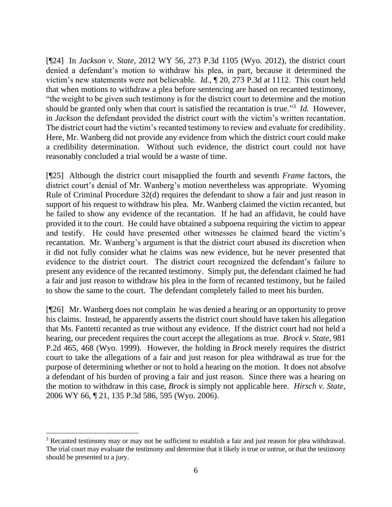[¶24] In *Jackson v. State,* 2012 WY 56, 273 P.3d 1105 (Wyo. 2012), the district court denied a defendant's motion to withdraw his plea, in part, because it determined the victim's new statements were not believable. *Id.,* ¶ 20, 273 P.3d at 1112. This court held that when motions to withdraw a plea before sentencing are based on recanted testimony, "the weight to be given such testimony is for the district court to determine and the motion should be granted only when that court is satisfied the recantation is true." 3 *Id.* However, in *Jackson* the defendant provided the district court with the victim's written recantation. The district court had the victim's recanted testimony to review and evaluate for credibility. Here, Mr. Wanberg did not provide any evidence from which the district court could make a credibility determination. Without such evidence, the district court could not have reasonably concluded a trial would be a waste of time.

[¶25] Although the district court misapplied the fourth and seventh *Frame* factors, the district court's denial of Mr. Wanberg's motion nevertheless was appropriate. Wyoming Rule of Criminal Procedure 32(d) requires the defendant to show a fair and just reason in support of his request to withdraw his plea. Mr. Wanberg claimed the victim recanted, but he failed to show any evidence of the recantation. If he had an affidavit, he could have provided it to the court. He could have obtained a subpoena requiring the victim to appear and testify. He could have presented other witnesses he claimed heard the victim's recantation. Mr. Wanberg's argument is that the district court abused its discretion when it did not fully consider what he claims was new evidence, but he never presented that evidence to the district court. The district court recognized the defendant's failure to present any evidence of the recanted testimony. Simply put, the defendant claimed he had a fair and just reason to withdraw his plea in the form of recanted testimony, but he failed to show the same to the court. The defendant completely failed to meet his burden.

[¶26] Mr. Wanberg does not complain he was denied a hearing or an opportunity to prove his claims. Instead, he apparently asserts the district court should have taken his allegation that Ms. Fantetti recanted as true without any evidence. If the district court had not held a hearing, our precedent requires the court accept the allegations as true. *Brock v. State*, 981 P.2d 465, 468 (Wyo. 1999). However, the holding in *Brock* merely requires the district court to take the allegations of a fair and just reason for plea withdrawal as true for the purpose of determining whether or not to hold a hearing on the motion. It does not absolve a defendant of his burden of proving a fair and just reason. Since there was a hearing on the motion to withdraw in this case, *Brock* is simply not applicable here. *Hirsch v. State*, 2006 WY 66, ¶ 21, 135 P.3d 586, 595 (Wyo. 2006).

<sup>&</sup>lt;sup>3</sup> Recanted testimony may or may not be sufficient to establish a fair and just reason for plea withdrawal. The trial court may evaluate the testimony and determine that it likely is true or untrue, or that the testimony should be presented to a jury.